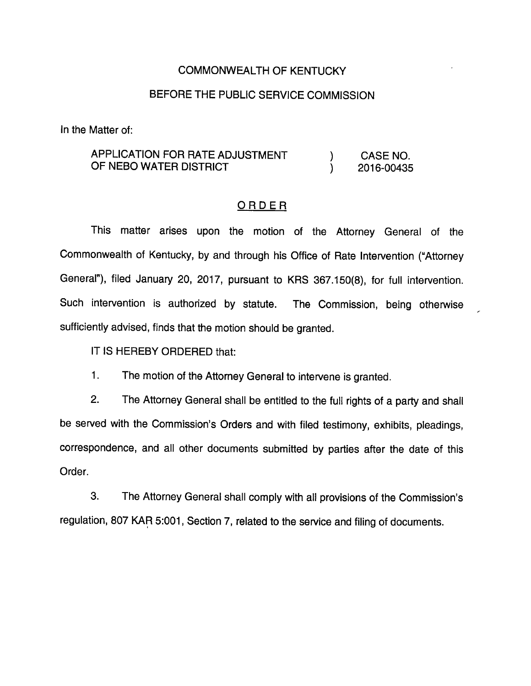## COMMONWEALTH OF KENTUCKY

## BEFORE THE PUBLIC SERVICE COMMISSION

In the Matter of:

## APPLICATION FOR RATE ADJUSTMENT ) CASE NO. OF NEBO WATER DISTRICT **CONSUMING A SET AND A 2016-00435**

## ORDER

This matter arises upon the motion of the Attorney Generai of the Commonweaith of Kentucky, by and through his Office of Rate Intervention ("Attorney General"), filed January 20, 2017, pursuant to KRS 367.150(8), for full intervention. Such intervention is authorized by statute. The Commission, being otherwise sufficiently advised, finds that the motion should be granted.

IT IS HEREBY ORDERED that:

1. The motion of the Attomey General to intervene is granted.

2. The Attorney General shall be entitled to the full rights of a party and shali be served with the Commission's Orders and with fiied testimony, exhibits, pleadings, correspondence, and ail other documents submitted by parties after the date of this Order.

3. The Attorney General shall comply with all provisions of the Commission's regulation, 807 KAR 5:001, Section 7, related to the service and filing of documents.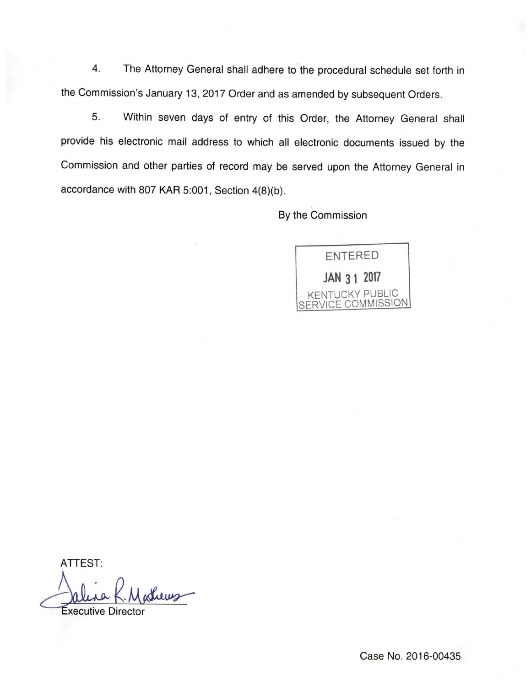4. The Attorney General shall adhere to the procedural schedule set forth in the Commission's January 13, 2017 Order and as amended by subsequent Orders.

5. Within seven days of entry of this Order, the Attorney General shall provide his electronic mail address to which all electronic documents issued by the Commission and other parties of record may be served upon the Attorney General in accordance with 807 KAR 5:001, Section 4(8)(b).

By the Commission



ATTEST:

Luns Executive Director

Case No. 2016-00435